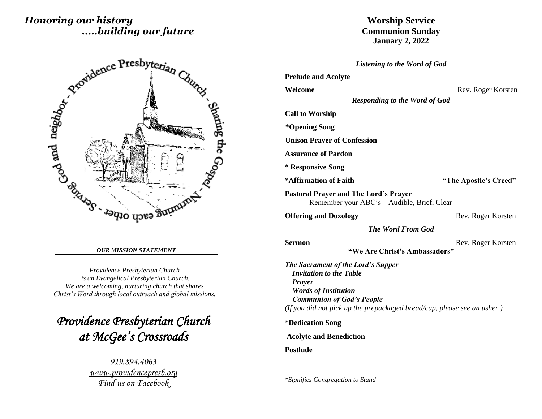# *Honoring our history .....building our future*



#### *OUR MISSION STATEMENT*

*Providence Presbyterian Church is an Evangelical Presbyterian Church. We are a welcoming, nurturing church that shares Christ's Word through local outreach and global missions.*

*Providence Presbyterian Church at McGee's Crossroads* 

> *919.894.4063 [www.providencepresb.org](http://www.providencepresb.org/) Find us on Facebook*

## **Worship Service Communion Sunday January 2, 2022**

#### *Listening to the Word of God*

|  |  | <b>Prelude and Acolyte</b> |  |
|--|--|----------------------------|--|
|--|--|----------------------------|--|

**Welcome** Rev. Roger Korsten

*Responding to the Word of God*

**Call to Worship**

**\*Opening Song** 

**Unison Prayer of Confession**

**Assurance of Pardon**

**\* Responsive Song** 

**\*Affirmation of Faith "The Apostle's Creed"**

**Pastoral Prayer and The Lord's Prayer** Remember your ABC's – Audible, Brief, Clear

**Offering and Doxology** Rev. Roger Korsten

*The Word From God*

**Sermon** Rev. Roger Korsten

**"We Are Christ's Ambassadors"**

*The Sacrament of the Lord's Supper Invitation to the Table Prayer Words of Institution Communion of God's People (If you did not pick up the prepackaged bread/cup, please see an usher.)*

\***Dedication Song**

*\_\_\_\_\_\_\_\_\_\_\_\_\_\_\_\_\_\_*

**Acolyte and Benediction**

**Postlude**

*\*Signifies Congregation to Stand*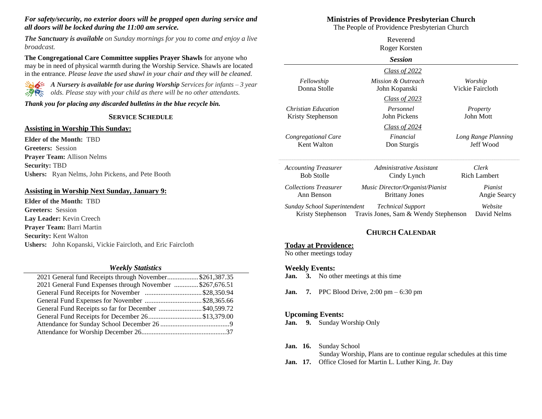#### *For safety/security, no exterior doors will be propped open during service and all doors will be locked during the 11:00 am service.*

*The Sanctuary is available on Sunday mornings for you to come and enjoy a live broadcast.*

**The Congregational Care Committee supplies Prayer Shawls** for anyone who may be in need of physical warmth during the Worship Service. Shawls are located in the entrance. *Please leave the used shawl in your chair and they will be cleaned.*



*A Nursery is available for use during Worship Services for infants – 3 year <i>olds. Please stay with your child as there will be no other attendants.* 

#### *Thank you for placing any discarded bulletins in the blue recycle bin.*

#### **SERVICE SCHEDULE**

#### **Assisting in Worship This Sunday:**

**Elder of the Month:** TBD **Greeters:** Session **Prayer Team:** Allison Nelms **Security:** TBD **Ushers:** Ryan Nelms, John Pickens, and Pete Booth

### **Assisting in Worship Next Sunday, January 9:**

**Elder of the Month:** TBD **Greeters:** Session **Lay Leader:** Kevin Creech **Prayer Team:** Barri Martin **Security:** Kent Walton **Ushers:** John Kopanski, Vickie Faircloth, and Eric Faircloth

#### *Weekly Statistics*

| 2021 General fund Receipts through November\$261,387.35  |  |
|----------------------------------------------------------|--|
| 2021 General Fund Expenses through November \$267,676.51 |  |
|                                                          |  |
|                                                          |  |
| General Fund Receipts so far for December \$40,599.72    |  |
| General Fund Receipts for December 26\$13,379.00         |  |
|                                                          |  |
|                                                          |  |
|                                                          |  |

### **Ministries of Providence Presbyterian Church**

The People of Providence Presbyterian Church

| Reverend<br>Roger Korsten                         |                                                                  |                                  |  |  |
|---------------------------------------------------|------------------------------------------------------------------|----------------------------------|--|--|
| <b>Session</b>                                    |                                                                  |                                  |  |  |
|                                                   | <u>Class of 2022</u>                                             |                                  |  |  |
| Fellowship<br>Donna Stolle                        | Mission & Outreach<br>John Kopanski                              | Worship<br>Vickie Faircloth      |  |  |
|                                                   | <u>Class of 2023</u>                                             |                                  |  |  |
| Christian Education<br>Kristy Stephenson          | Personnel<br>John Pickens                                        | Property<br>John Mott            |  |  |
|                                                   | <u>Class of 2024</u>                                             |                                  |  |  |
| Congregational Care<br>Kent Walton                | Financial<br>Don Sturgis                                         | Long Range Planning<br>Jeff Wood |  |  |
| <b>Accounting Treasurer</b>                       | Administrative Assistant                                         | Clerk                            |  |  |
| <b>Bob Stolle</b>                                 | Cindy Lynch                                                      | <b>Rich Lambert</b>              |  |  |
| <b>Collections Treasurer</b><br>Ann Benson        | Music Director/Organist/Pianist<br><b>Brittany Jones</b>         | Pianist<br>Angie Searcy          |  |  |
| Sunday School Superintendent<br>Kristy Stephenson | <b>Technical Support</b><br>Travis Jones, Sam & Wendy Stephenson | Website<br>David Nelms           |  |  |

### **CHURCH CALENDAR**

### **Today at Providence:**

No other meetings today

#### **Weekly Events:**

- **Jan. 3.** No other meetings at this time
- **Jan. 7.** PPC Blood Drive, 2:00 pm 6:30 pm

#### **Upcoming Events:**

**Jan. 9.** Sunday Worship Only

**Jan. 16.** Sunday School

Sunday Worship, Plans are to continue regular schedules at this time

**Jan. 17.** Office Closed for Martin L. Luther King, Jr. Day